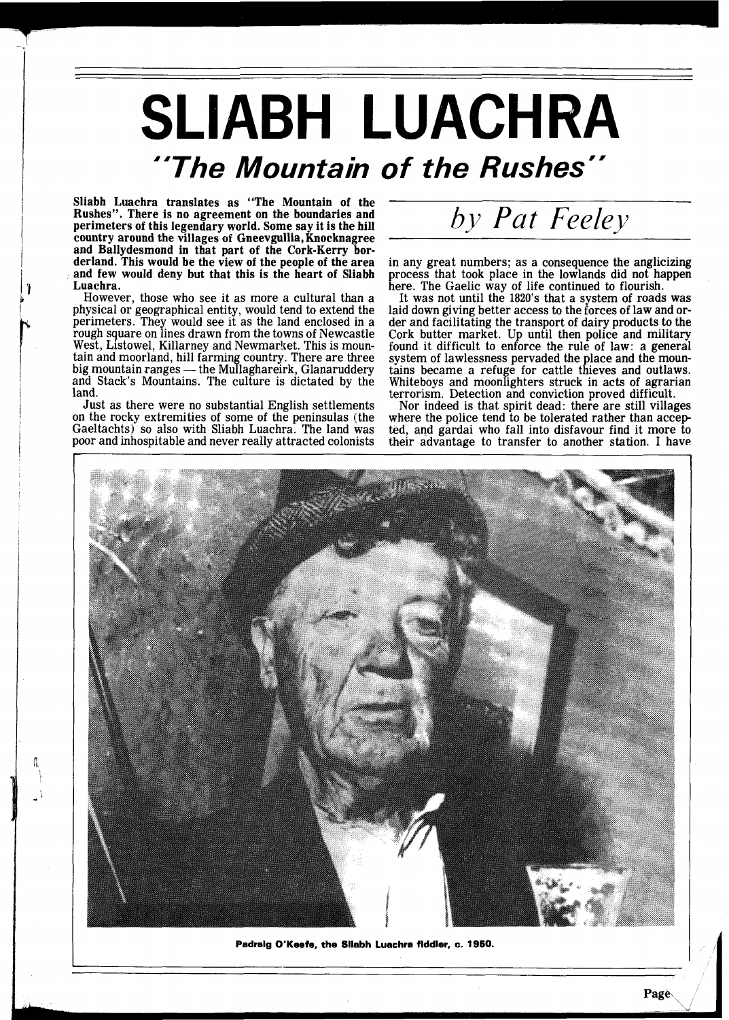## **SLIABH LUACHRA "The Mountain of the Rushes"**

Sliabh Luachra translates as "The Mountain of the Rushes". There is no agreement on the boundaries and perimeters of this legendary world. Some say it is the hill country around the villages of Gneevgullia, Knocknagree and Ballydesmond in that part of the Cork-Kerry bor- derland. This would be the view of the people of the area and few would deny but that this is the heart of Sliabh Luachra.

However, those who see it as more a cultural than a physical or geographical entity, would tend to extend the perimeters. They would see it as the land enclosed in a rough square on lines drawn from the towns of Newcastle West, Listowel, Killarney and Newmarket. This is mountain and moorland, hill farming country. There are three<br>big mountain ranges — the Mullaghareirk, Glanaruddery<br>and Stack's Mountains. The culture is dictated by the tain and moorland, hill farming country. There are three big mountain ranges — the Mullaghareirk, Glanaruddery land.

Just as there were no substantial English settlements on the rocky extremities of some of the peninsulas (the Gaeltachts) so also with Sliabh Luachra. The land was poor and inhospitable and never really attracted colonists

by *Pat* Feeley

in any great numbers; as a consequence the anglicizing process that took place in the lowlands did not happen process that took place in the lowlands did not happen here. The Gaelic way of life continued to flourish.

It was not until the 1820's that a system of roads was laid down giving better access to the forces of law and order and facilitating the transport of dairy products to the Cork butter market. Up until then police and military Cork butter market. Up until then police and military found it difficult to enforce the rule of law: a general system of lawlessness pervaded the place and the mountains became a refuge for cattle thieves and outlaws.<br>Whiteboys and moonlighters struck in acts of agrarian Whiteboys and moonlighters struck in acts of agrarian terrorism. Detection and conviction proved difficult.

Nor indeed is that spirit dead: there are still villages where the police tend to be tolerated rather than accep ted, and gardai who fall into disfavour find it more to their advantage to transfer to another station. I have



**Padraig O'Keefe, the Sliabh Luachra fiddler, c. 1950.**